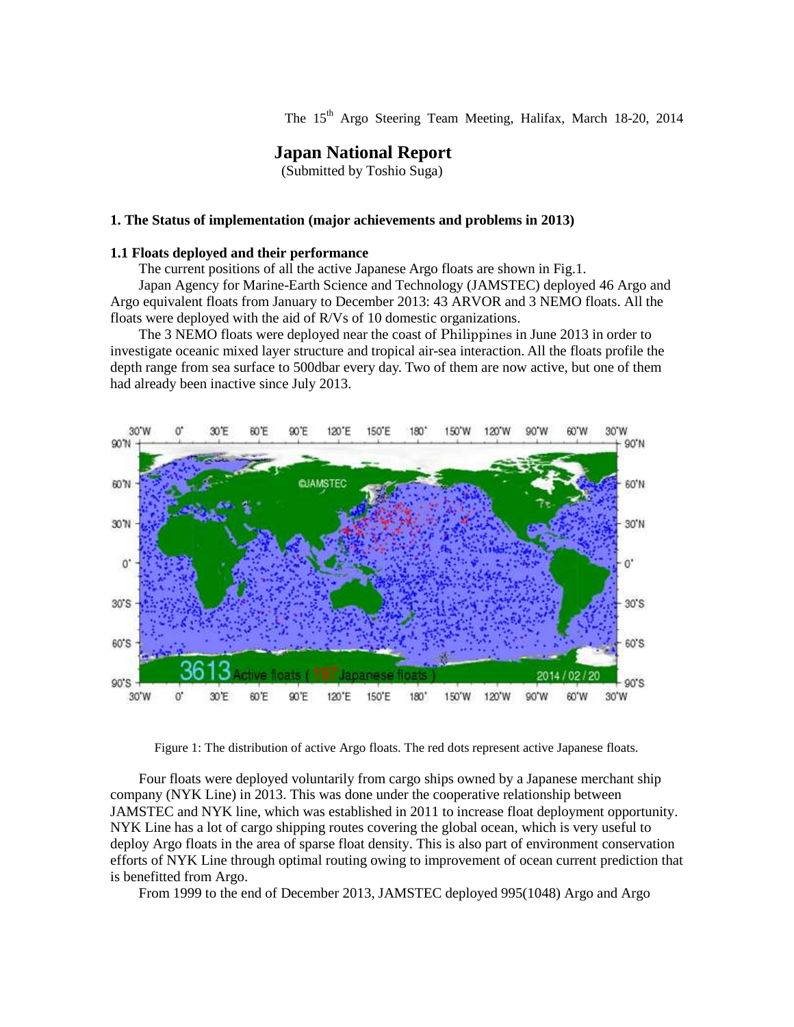The 15<sup>th</sup> Argo Steering Team Meeting, Halifax, March 18-20, 2014

# **Japan National Report**

(Submitted by Toshio Suga)

#### **1. The Status of implementation (major achievements and problems in 2013)**

### **1.1 Floats deployed and their performance**

The current positions of all the active Japanese Argo floats are shown in Fig.1.

Japan Agency for Marine-Earth Science and Technology (JAMSTEC) deployed 46 Argo and Argo equivalent floats from January to December 2013: 43 ARVOR and 3 NEMO floats. All the floats were deployed with the aid of R/Vs of 10 domestic organizations.

The 3 NEMO floats were deployed near the coast of Philippines in June 2013 in order to investigate oceanic mixed layer structure and tropical air-sea interaction. All the floats profile the depth range from sea surface to 500dbar every day. Two of them are now active, but one of them had already been inactive since July 2013.



Figure 1: The distribution of active Argo floats. The red dots represent active Japanese floats.

Four floats were deployed voluntarily from cargo ships owned by a Japanese merchant ship company (NYK Line) in 2013. This was done under the cooperative relationship between JAMSTEC and NYK line, which was established in 2011 to increase float deployment opportunity. NYK Line has a lot of cargo shipping routes covering the global ocean, which is very useful to deploy Argo floats in the area of sparse float density. This is also part of environment conservation efforts of NYK Line through optimal routing owing to improvement of ocean current prediction that is benefitted from Argo.

From 1999 to the end of December 2013, JAMSTEC deployed 995(1048) Argo and Argo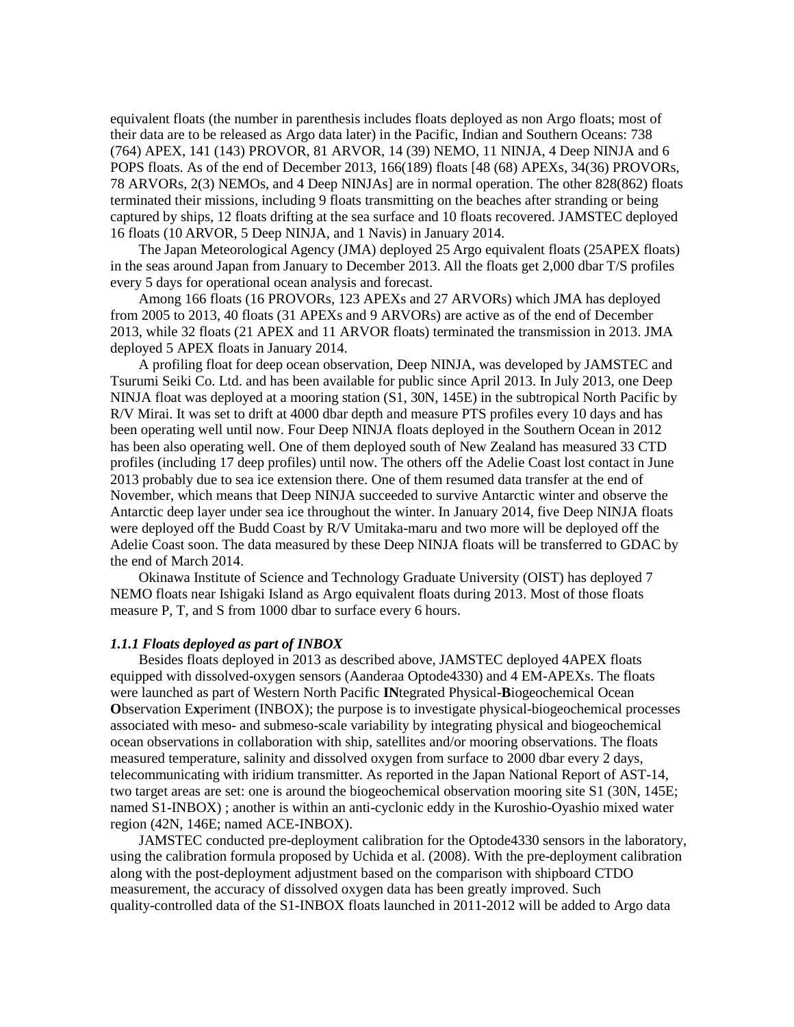equivalent floats (the number in parenthesis includes floats deployed as non Argo floats; most of their data are to be released as Argo data later) in the Pacific, Indian and Southern Oceans: 738 (764) APEX, 141 (143) PROVOR, 81 ARVOR, 14 (39) NEMO, 11 NINJA, 4 Deep NINJA and 6 POPS floats. As of the end of December 2013, 166(189) floats [48 (68) APEXs, 34(36) PROVORs, 78 ARVORs, 2(3) NEMOs, and 4 Deep NINJAs] are in normal operation. The other 828(862) floats terminated their missions, including 9 floats transmitting on the beaches after stranding or being captured by ships, 12 floats drifting at the sea surface and 10 floats recovered. JAMSTEC deployed 16 floats (10 ARVOR, 5 Deep NINJA, and 1 Navis) in January 2014.

The Japan Meteorological Agency (JMA) deployed 25 Argo equivalent floats (25APEX floats) in the seas around Japan from January to December 2013. All the floats get 2,000 dbar T/S profiles every 5 days for operational ocean analysis and forecast.

Among 166 floats (16 PROVORs, 123 APEXs and 27 ARVORs) which JMA has deployed from 2005 to 2013, 40 floats (31 APEXs and 9 ARVORs) are active as of the end of December 2013, while 32 floats (21 APEX and 11 ARVOR floats) terminated the transmission in 2013. JMA deployed 5 APEX floats in January 2014.

A profiling float for deep ocean observation, Deep NINJA, was developed by JAMSTEC and Tsurumi Seiki Co. Ltd. and has been available for public since April 2013. In July 2013, one Deep NINJA float was deployed at a mooring station (S1, 30N, 145E) in the subtropical North Pacific by R/V Mirai. It was set to drift at 4000 dbar depth and measure PTS profiles every 10 days and has been operating well until now. Four Deep NINJA floats deployed in the Southern Ocean in 2012 has been also operating well. One of them deployed south of New Zealand has measured 33 CTD profiles (including 17 deep profiles) until now. The others off the Adelie Coast lost contact in June 2013 probably due to sea ice extension there. One of them resumed data transfer at the end of November, which means that Deep NINJA succeeded to survive Antarctic winter and observe the Antarctic deep layer under sea ice throughout the winter. In January 2014, five Deep NINJA floats were deployed off the Budd Coast by R/V Umitaka-maru and two more will be deployed off the Adelie Coast soon. The data measured by these Deep NINJA floats will be transferred to GDAC by the end of March 2014.

Okinawa Institute of Science and Technology Graduate University (OIST) has deployed 7 NEMO floats near Ishigaki Island as Argo equivalent floats during 2013. Most of those floats measure P, T, and S from 1000 dbar to surface every 6 hours.

#### *1.1.1 Floats deployed as part of INBOX*

Besides floats deployed in 2013 as described above, JAMSTEC deployed 4APEX floats equipped with dissolved-oxygen sensors (Aanderaa Optode4330) and 4 EM-APEXs. The floats were launched as part of Western North Pacific **IN**tegrated Physical-**B**iogeochemical Ocean **O**bservation E**x**periment (INBOX); the purpose is to investigate physical-biogeochemical processes associated with meso- and submeso-scale variability by integrating physical and biogeochemical ocean observations in collaboration with ship, satellites and/or mooring observations. The floats measured temperature, salinity and dissolved oxygen from surface to 2000 dbar every 2 days, telecommunicating with iridium transmitter. As reported in the Japan National Report of AST-14, two target areas are set: one is around the biogeochemical observation mooring site S1 (30N, 145E; named S1-INBOX) ; another is within an anti-cyclonic eddy in the Kuroshio-Oyashio mixed water region (42N, 146E; named ACE-INBOX).

JAMSTEC conducted pre-deployment calibration for the Optode4330 sensors in the laboratory, using the calibration formula proposed by Uchida et al. (2008). With the pre-deployment calibration along with the post-deployment adjustment based on the comparison with shipboard CTDO measurement, the accuracy of dissolved oxygen data has been greatly improved. Such quality-controlled data of the S1-INBOX floats launched in 2011-2012 will be added to Argo data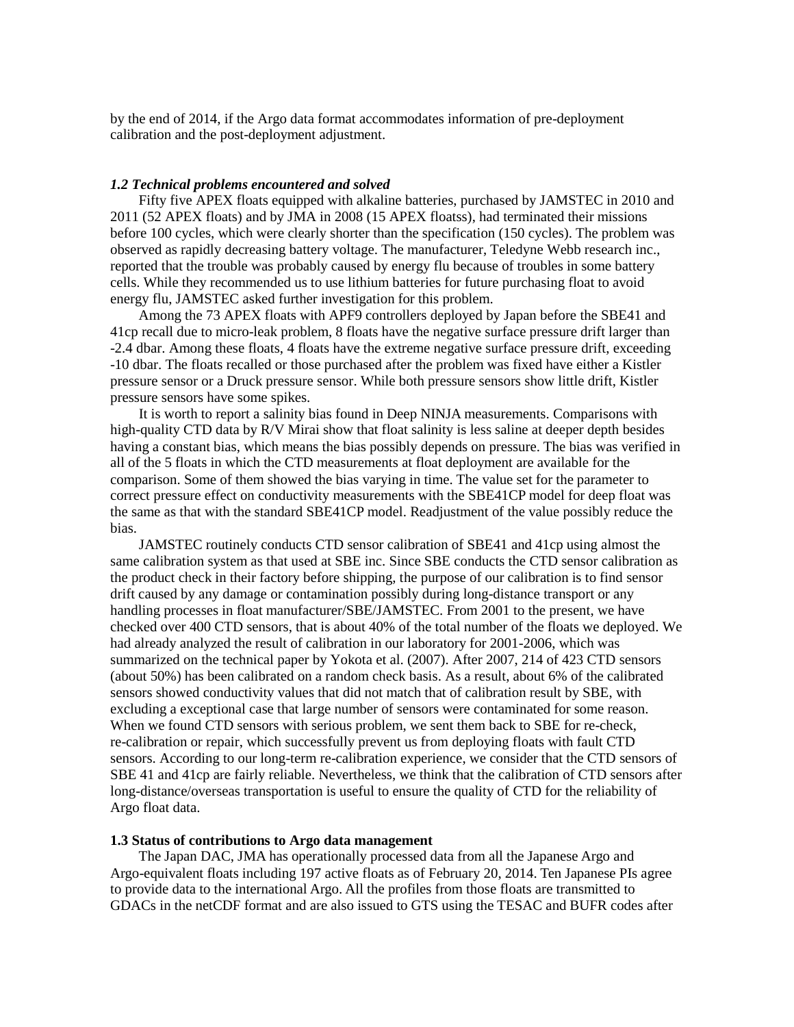by the end of 2014, if the Argo data format accommodates information of pre-deployment calibration and the post-deployment adjustment.

#### *1.2 Technical problems encountered and solved*

Fifty five APEX floats equipped with alkaline batteries, purchased by JAMSTEC in 2010 and 2011 (52 APEX floats) and by JMA in 2008 (15 APEX floatss), had terminated their missions before 100 cycles, which were clearly shorter than the specification (150 cycles). The problem was observed as rapidly decreasing battery voltage. The manufacturer, Teledyne Webb research inc., reported that the trouble was probably caused by energy flu because of troubles in some battery cells. While they recommended us to use lithium batteries for future purchasing float to avoid energy flu, JAMSTEC asked further investigation for this problem.

Among the 73 APEX floats with APF9 controllers deployed by Japan before the SBE41 and 41cp recall due to micro-leak problem, 8 floats have the negative surface pressure drift larger than -2.4 dbar. Among these floats, 4 floats have the extreme negative surface pressure drift, exceeding -10 dbar. The floats recalled or those purchased after the problem was fixed have either a Kistler pressure sensor or a Druck pressure sensor. While both pressure sensors show little drift, Kistler pressure sensors have some spikes.

It is worth to report a salinity bias found in Deep NINJA measurements. Comparisons with high-quality CTD data by R/V Mirai show that float salinity is less saline at deeper depth besides having a constant bias, which means the bias possibly depends on pressure. The bias was verified in all of the 5 floats in which the CTD measurements at float deployment are available for the comparison. Some of them showed the bias varying in time. The value set for the parameter to correct pressure effect on conductivity measurements with the SBE41CP model for deep float was the same as that with the standard SBE41CP model. Readjustment of the value possibly reduce the bias.

JAMSTEC routinely conducts CTD sensor calibration of SBE41 and 41cp using almost the same calibration system as that used at SBE inc. Since SBE conducts the CTD sensor calibration as the product check in their factory before shipping, the purpose of our calibration is to find sensor drift caused by any damage or contamination possibly during long-distance transport or any handling processes in float manufacturer/SBE/JAMSTEC. From 2001 to the present, we have checked over 400 CTD sensors, that is about 40% of the total number of the floats we deployed. We had already analyzed the result of calibration in our laboratory for 2001-2006, which was summarized on the technical paper by Yokota et al. (2007). After 2007, 214 of 423 CTD sensors (about 50%) has been calibrated on a random check basis. As a result, about 6% of the calibrated sensors showed conductivity values that did not match that of calibration result by SBE, with excluding a exceptional case that large number of sensors were contaminated for some reason. When we found CTD sensors with serious problem, we sent them back to SBE for re-check, re-calibration or repair, which successfully prevent us from deploying floats with fault CTD sensors. According to our long-term re-calibration experience, we consider that the CTD sensors of SBE 41 and 41cp are fairly reliable. Nevertheless, we think that the calibration of CTD sensors after long-distance/overseas transportation is useful to ensure the quality of CTD for the reliability of Argo float data.

# **1.3 Status of contributions to Argo data management**

The Japan DAC, JMA has operationally processed data from all the Japanese Argo and Argo-equivalent floats including 197 active floats as of February 20, 2014. Ten Japanese PIs agree to provide data to the international Argo. All the profiles from those floats are transmitted to GDACs in the netCDF format and are also issued to GTS using the TESAC and BUFR codes after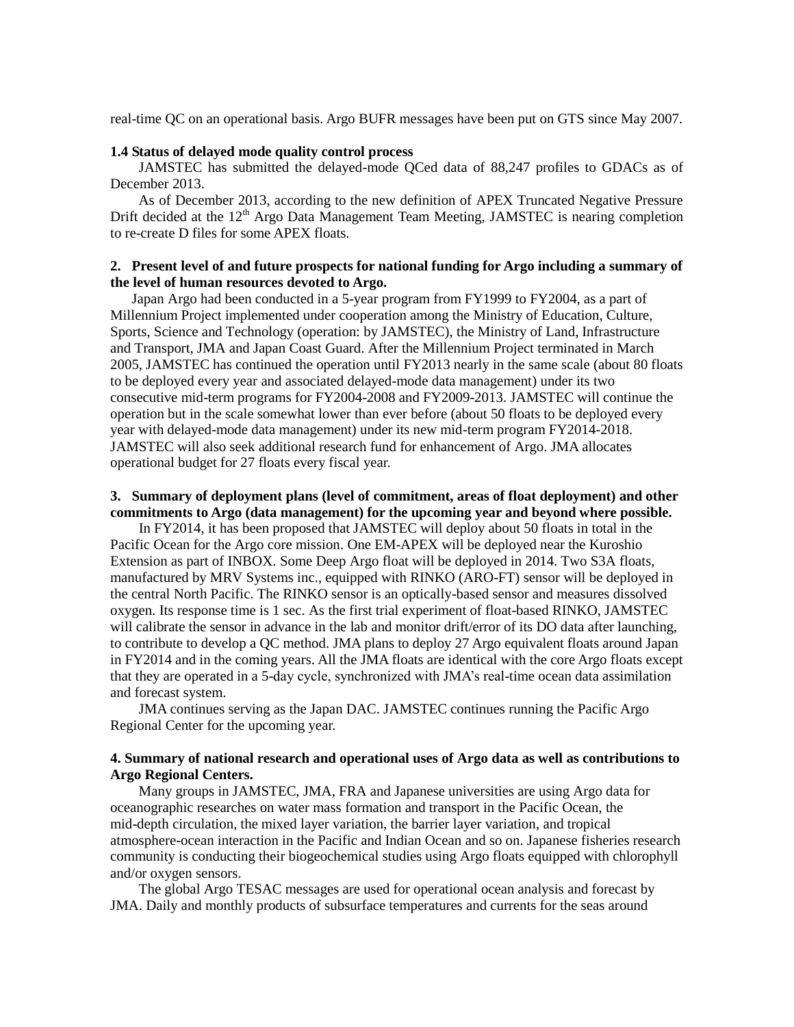real-time QC on an operational basis. Argo BUFR messages have been put on GTS since May 2007.

# **1.4 Status of delayed mode quality control process**

JAMSTEC has submitted the delayed-mode QCed data of 88,247 profiles to GDACs as of December 2013.

As of December 2013, according to the new definition of APEX Truncated Negative Pressure Drift decided at the  $12<sup>th</sup>$  Argo Data Management Team Meeting, JAMSTEC is nearing completion to re-create D files for some APEX floats.

# **2. Present level of and future prospects for national funding for Argo including a summary of the level of human resources devoted to Argo.**

 Japan Argo had been conducted in a 5-year program from FY1999 to FY2004, as a part of Millennium Project implemented under cooperation among the Ministry of Education, Culture, Sports, Science and Technology (operation: by JAMSTEC), the Ministry of Land, Infrastructure and Transport, JMA and Japan Coast Guard. After the Millennium Project terminated in March 2005, JAMSTEC has continued the operation until FY2013 nearly in the same scale (about 80 floats to be deployed every year and associated delayed-mode data management) under its two consecutive mid-term programs for FY2004-2008 and FY2009-2013. JAMSTEC will continue the operation but in the scale somewhat lower than ever before (about 50 floats to be deployed every year with delayed-mode data management) under its new mid-term program FY2014-2018. JAMSTEC will also seek additional research fund for enhancement of Argo. JMA allocates operational budget for 27 floats every fiscal year.

## **3. Summary of deployment plans (level of commitment, areas of float deployment) and other commitments to Argo (data management) for the upcoming year and beyond where possible.**

 In FY2014, it has been proposed that JAMSTEC will deploy about 50 floats in total in the Pacific Ocean for the Argo core mission. One EM-APEX will be deployed near the Kuroshio Extension as part of INBOX. Some Deep Argo float will be deployed in 2014. Two S3A floats, manufactured by MRV Systems inc., equipped with RINKO (ARO-FT) sensor will be deployed in the central North Pacific. The RINKO sensor is an optically-based sensor and measures dissolved oxygen. Its response time is 1 sec. As the first trial experiment of float-based RINKO, JAMSTEC will calibrate the sensor in advance in the lab and monitor drift/error of its DO data after launching, to contribute to develop a QC method. JMA plans to deploy 27 Argo equivalent floats around Japan in FY2014 and in the coming years. All the JMA floats are identical with the core Argo floats except that they are operated in a 5-day cycle, synchronized with JMA's real-time ocean data assimilation and forecast system.

JMA continues serving as the Japan DAC. JAMSTEC continues running the Pacific Argo Regional Center for the upcoming year.

## **4. Summary of national research and operational uses of Argo data as well as contributions to Argo Regional Centers.**

Many groups in JAMSTEC, JMA, FRA and Japanese universities are using Argo data for oceanographic researches on water mass formation and transport in the Pacific Ocean, the mid-depth circulation, the mixed layer variation, the barrier layer variation, and tropical atmosphere-ocean interaction in the Pacific and Indian Ocean and so on. Japanese fisheries research community is conducting their biogeochemical studies using Argo floats equipped with chlorophyll and/or oxygen sensors.

The global Argo TESAC messages are used for operational ocean analysis and forecast by JMA. Daily and monthly products of subsurface temperatures and currents for the seas around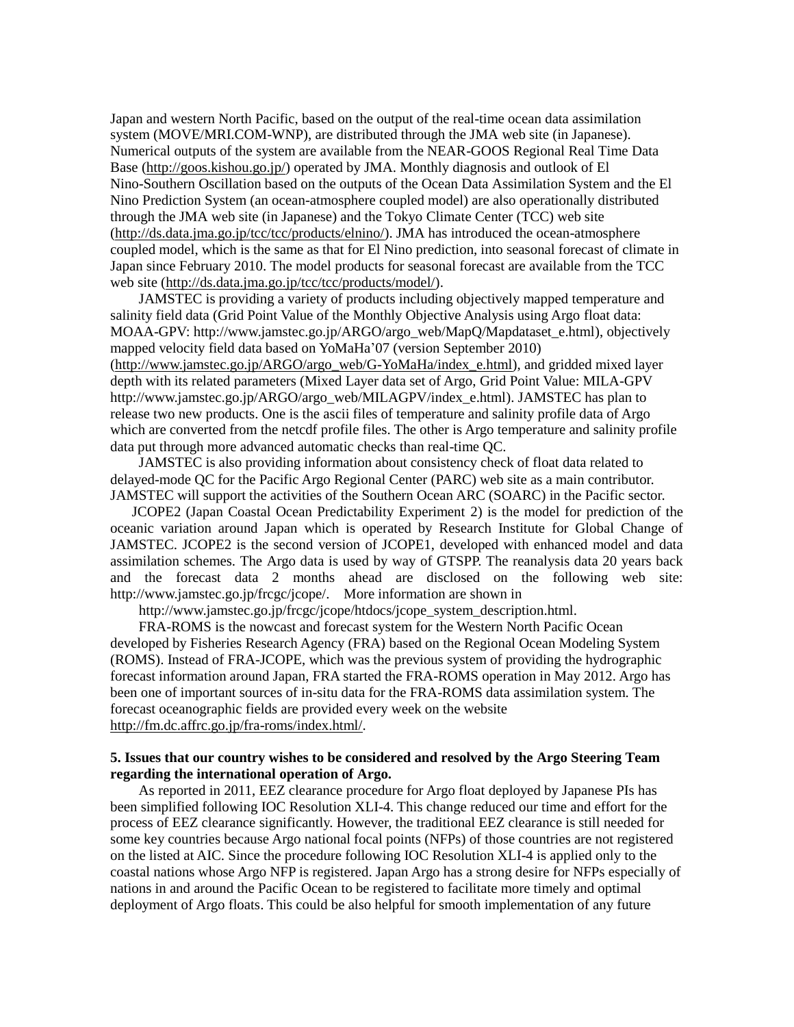Japan and western North Pacific, based on the output of the real-time ocean data assimilation system (MOVE/MRI.COM-WNP), are distributed through the JMA web site (in Japanese). Numerical outputs of the system are available from the NEAR-GOOS Regional Real Time Data Base [\(http://goos.kishou.go.jp/\)](http://goos.kishou.go.jp/) operated by JMA. Monthly diagnosis and outlook of El Nino-Southern Oscillation based on the outputs of the Ocean Data Assimilation System and the El Nino Prediction System (an ocean-atmosphere coupled model) are also operationally distributed through the JMA web site (in Japanese) and the Tokyo Climate Center (TCC) web site [\(http://ds.data.jma.go.jp/tcc/tcc/products/elnino/\)](http://ds.data.jma.go.jp/tcc/tcc/products/elnino/). JMA has introduced the ocean-atmosphere coupled model, which is the same as that for El Nino prediction, into seasonal forecast of climate in Japan since February 2010. The model products for seasonal forecast are available from the TCC web site [\(http://ds.data.jma.go.jp/tcc/tcc/products/model/\)](http://ds.data.jma.go.jp/tcc/tcc/products/model/).

JAMSTEC is providing a variety of products including objectively mapped temperature and salinity field data (Grid Point Value of the Monthly Objective Analysis using Argo float data: MOAA-GPV: http://www.jamstec.go.jp/ARGO/argo\_web/MapQ/Mapdataset\_e.html), objectively mapped velocity field data based on YoMaHa'07 (version September 2010) [\(http://www.jamstec.go.jp/ARGO/argo\\_web/G-YoMaHa/index\\_e.html\)](http://www.jamstec.go.jp/ARGO/argo_web/G-YoMaHa/index_e.html), and gridded mixed layer depth with its related parameters (Mixed Layer data set of Argo, Grid Point Value: MILA-GPV http://www.jamstec.go.jp/ARGO/argo\_web/MILAGPV/index\_e.html). JAMSTEC has plan to release two new products. One is the ascii files of temperature and salinity profile data of Argo which are converted from the netcdf profile files. The other is Argo temperature and salinity profile data put through more advanced automatic checks than real-time QC.

JAMSTEC is also providing information about consistency check of float data related to delayed-mode QC for the Pacific Argo Regional Center (PARC) web site as a main contributor. JAMSTEC will support the activities of the Southern Ocean ARC (SOARC) in the Pacific sector.

JCOPE2 (Japan Coastal Ocean Predictability Experiment 2) is the model for prediction of the oceanic variation around Japan which is operated by Research Institute for Global Change of JAMSTEC. JCOPE2 is the second version of JCOPE1, developed with enhanced model and data assimilation schemes. The Argo data is used by way of GTSPP. The reanalysis data 20 years back and the forecast data 2 months ahead are disclosed on the following web site: http://www.jamstec.go.jp/frcgc/jcope/. More information are shown in

http://www.jamstec.go.jp/frcgc/jcope/htdocs/jcope\_system\_description.html.

FRA-ROMS is the nowcast and forecast system for the Western North Pacific Ocean developed by Fisheries Research Agency (FRA) based on the Regional Ocean Modeling System (ROMS). Instead of FRA-JCOPE, which was the previous system of providing the hydrographic forecast information around Japan, FRA started the FRA-ROMS operation in May 2012. Argo has been one of important sources of in-situ data for the FRA-ROMS data assimilation system. The forecast oceanographic fields are provided every week on the website [http://fm.dc.affrc.go.jp/fra-roms/index.html/.](http://fm.dc.affrc.go.jp/fra-roms/index.html/)

# **5. Issues that our country wishes to be considered and resolved by the Argo Steering Team regarding the international operation of Argo.**

As reported in 2011, EEZ clearance procedure for Argo float deployed by Japanese PIs has been simplified following IOC Resolution XLI-4. This change reduced our time and effort for the process of EEZ clearance significantly. However, the traditional EEZ clearance is still needed for some key countries because Argo national focal points (NFPs) of those countries are not registered on the listed at AIC. Since the procedure following IOC Resolution XLI-4 is applied only to the coastal nations whose Argo NFP is registered. Japan Argo has a strong desire for NFPs especially of nations in and around the Pacific Ocean to be registered to facilitate more timely and optimal deployment of Argo floats. This could be also helpful for smooth implementation of any future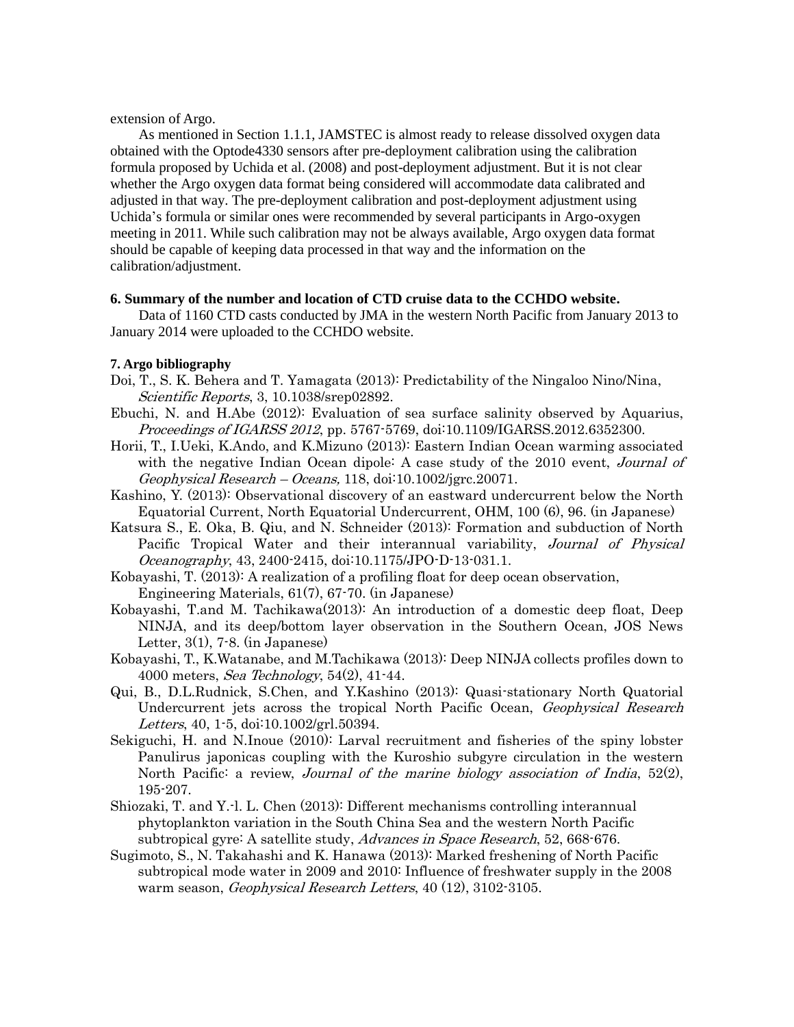extension of Argo.

As mentioned in Section 1.1.1, JAMSTEC is almost ready to release dissolved oxygen data obtained with the Optode4330 sensors after pre-deployment calibration using the calibration formula proposed by Uchida et al. (2008) and post-deployment adjustment. But it is not clear whether the Argo oxygen data format being considered will accommodate data calibrated and adjusted in that way. The pre-deployment calibration and post-deployment adjustment using Uchida's formula or similar ones were recommended by several participants in Argo-oxygen meeting in 2011. While such calibration may not be always available, Argo oxygen data format should be capable of keeping data processed in that way and the information on the calibration/adjustment.

#### **6. Summary of the number and location of CTD cruise data to the CCHDO website.**

Data of 1160 CTD casts conducted by JMA in the western North Pacific from January 2013 to January 2014 were uploaded to the CCHDO website.

## **7. Argo bibliography**

- Doi, T., S. K. Behera and T. Yamagata (2013): Predictability of the Ningaloo Nino/Nina, Scientific Reports, 3, 10.1038/srep02892.
- Ebuchi, N. and H.Abe (2012): Evaluation of sea surface salinity observed by Aquarius, Proceedings of IGARSS 2012, pp. 5767-5769, doi:10.1109/IGARSS.2012.6352300.
- Horii, T., I.Ueki, K.Ando, and K.Mizuno (2013): Eastern Indian Ocean warming associated with the negative Indian Ocean dipole: A case study of the 2010 event, *Journal of*  $Geophysical Research - Oceans, 118, doi:10.1002/jsrc.20071.$
- Kashino, Y. (2013): Observational discovery of an eastward undercurrent below the North Equatorial Current, North Equatorial Undercurrent, OHM, 100 (6), 96. (in Japanese)
- Katsura S., E. Oka, B. Qiu, and N. Schneider (2013): Formation and subduction of North Pacific Tropical Water and their interannual variability, Journal of Physical Oceanography, 43, 2400-2415, doi:10.1175/JPO-D-13-031.1.
- Kobayashi, T. (2013): A realization of a profiling float for deep ocean observation, Engineering Materials, 61(7), 67-70. (in Japanese)
- Kobayashi, T.and M. Tachikawa(2013): An introduction of a domestic deep float, Deep NINJA, and its deep/bottom layer observation in the Southern Ocean, JOS News Letter,  $3(1)$ ,  $7-8$ . (in Japanese)
- Kobayashi, T., K.Watanabe, and M.Tachikawa (2013): Deep NINJA collects profiles down to 4000 meters, Sea Technology, 54(2), 41-44.
- Qui, B., D.L.Rudnick, S.Chen, and Y.Kashino (2013): Quasi-stationary North Quatorial Undercurrent jets across the tropical North Pacific Ocean, Geophysical Research Letters, 40, 1-5, doi:10.1002/grl.50394.
- Sekiguchi, H. and N.Inoue (2010): Larval recruitment and fisheries of the spiny lobster Panulirus japonicas coupling with the Kuroshio subgyre circulation in the western North Pacific: a review, *Journal of the marine biology association of India*,  $52(2)$ , 195-207.
- Shiozaki, T. and Y.-l. L. Chen (2013): Different mechanisms controlling interannual phytoplankton variation in the South China Sea and the western North Pacific subtropical gyre: A satellite study, Advances in Space Research, 52, 668-676.
- Sugimoto, S., N. Takahashi and K. Hanawa (2013): Marked freshening of North Pacific subtropical mode water in 2009 and 2010: Influence of freshwater supply in the 2008 warm season, Geophysical Research Letters, 40 (12), 3102-3105.